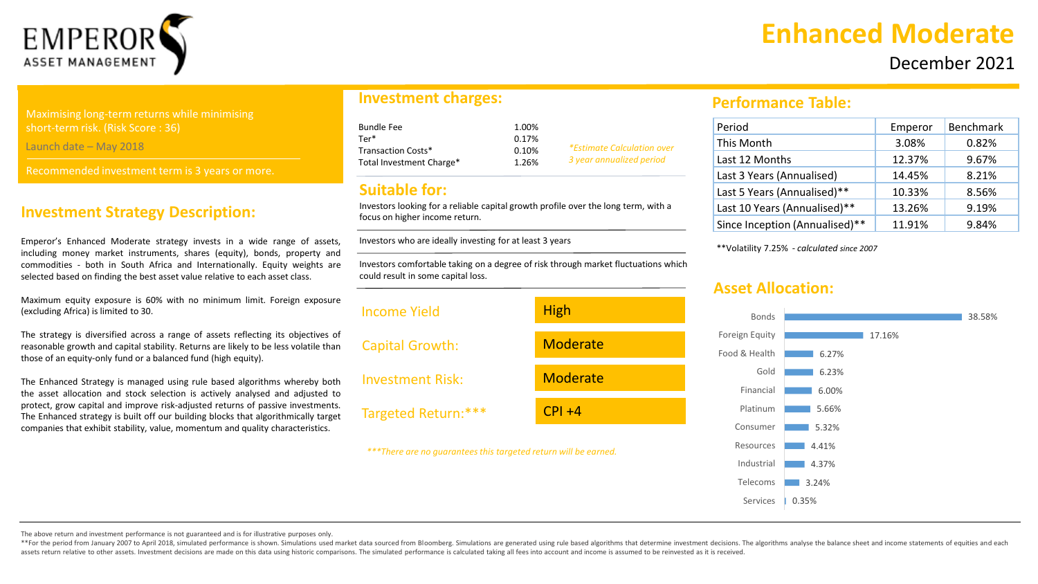

#### Maximising long-term returns while minimising short-term risk. (Risk Score : 36)

Launch date – May 2018

Recommended investment term is 3 years or more.

#### **Investment Strategy Description:**

Emperor's Enhanced Moderate strategy invests in a wide range of assets, including money market instruments, shares (equity), bonds, property and commodities - both in South Africa and Internationally. Equity weights are selected based on finding the best asset value relative to each asset class.

Maximum equity exposure is 60% with no minimum limit. Foreign exposure (excluding Africa) is limited to 30.

The strategy is diversified across a range of assets reflecting its objectives of reasonable growth and capital stability. Returns are likely to be less volatile than those of an equity-only fund or a balanced fund (high equity).

The Enhanced Strategy is managed using rule based algorithms whereby both the asset allocation and stock selection is actively analysed and adjusted to protect, grow capital and improve risk-adjusted returns of passive investments. The Enhanced strategy is built off our building blocks that algorithmically target companies that exhibit stability, value, momentum and quality characteristics.

#### **Investment charges:**

| 1.00% |                                   |
|-------|-----------------------------------|
| 0.17% |                                   |
| 0.10% | <i>*Estimate Calculation over</i> |
| 1.26% | 3 year annualized period          |
|       |                                   |

#### **Suitable for:**

Investors looking for a reliable capital growth profile over the long term, with a focus on higher income return.

Investors who are ideally investing for at least 3 years

Investors comfortable taking on a degree of risk through market fluctuations which could result in some capital loss.



# **Enhanced Moderate**

December 2021

#### **Performance Table:**

| Period                         | Emperor | <b>Benchmark</b> |
|--------------------------------|---------|------------------|
| This Month                     | 3.08%   | 0.82%            |
| Last 12 Months                 | 12.37%  | 9.67%            |
| Last 3 Years (Annualised)      | 14.45%  | 8.21%            |
| Last 5 Years (Annualised)**    | 10.33%  | 8.56%            |
| Last 10 Years (Annualised)**   | 13.26%  | 9.19%            |
| Since Inception (Annualised)** | 11.91%  | 9.84%            |

\*\*Volatility 7.25% - *calculated since 2007*

### **Asset Allocation:**



The above return and investment performance is not guaranteed and is for illustrative purposes only.

\*\*For the period from January 2007 to April 2018, simulated performance is shown. Simulations used market data sourced from Bloomberg. Simulations are generated using rule based algorithms that determine investment decisio assets return relative to other assets. Investment decisions are made on this data using historic comparisons. The simulated performance is calculated taking all fees into account and income is assumed to be reinvested as